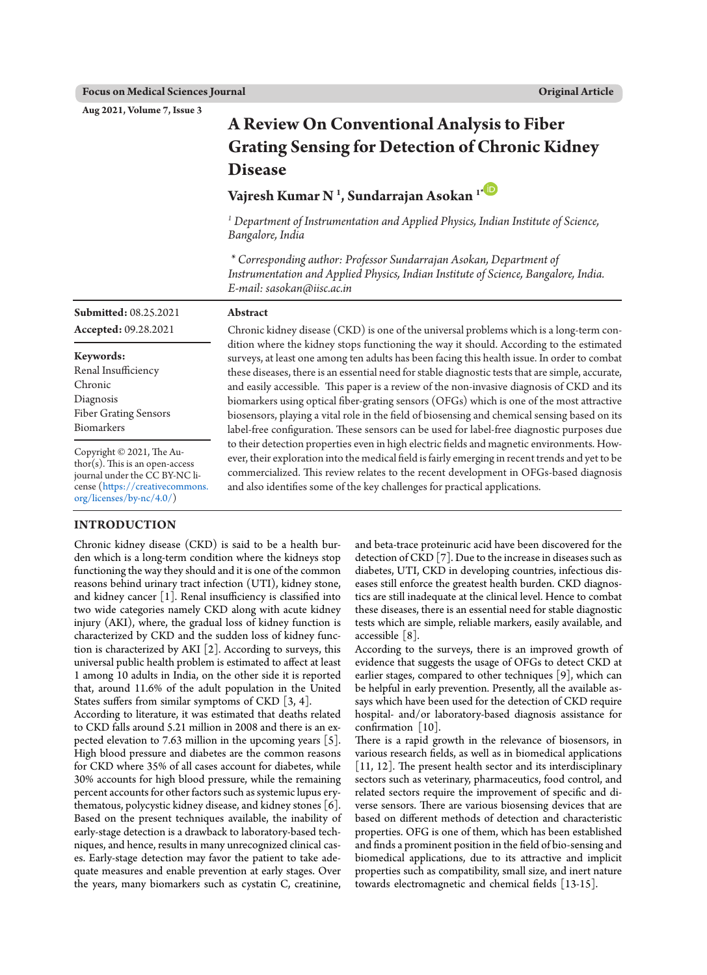**Aug 2021, Volume 7, Issue 3**

# **A Review On Conventional Analysis to Fiber Grating Sensing for Detection of Chronic Kidney Disease**

# **Vajresh Kumar N 1 , Sundarrajan Asokan 1[\\*](https://orcid.org/0000-0002-0803-3064)**

*<sup>1</sup> Department of Instrumentation and Applied Physics, Indian Institute of Science, Bangalore, India* 

*\* Corresponding author: Professor Sundarrajan Asokan, Department of Instrumentation and Applied Physics, Indian Institute of Science, Bangalore, India. E-mail: sasokan@iisc.ac.in*

| <b>Submitted: 08.25.2021</b>                                                                                                                    | Abstract                                                                                                                                                                                                                                                                                                                                                                                                                                                                                                                                                                                                                                                                               |
|-------------------------------------------------------------------------------------------------------------------------------------------------|----------------------------------------------------------------------------------------------------------------------------------------------------------------------------------------------------------------------------------------------------------------------------------------------------------------------------------------------------------------------------------------------------------------------------------------------------------------------------------------------------------------------------------------------------------------------------------------------------------------------------------------------------------------------------------------|
| Accepted: 09.28.2021                                                                                                                            | Chronic kidney disease (CKD) is one of the universal problems which is a long-term con-                                                                                                                                                                                                                                                                                                                                                                                                                                                                                                                                                                                                |
| Keywords:<br>Renal Insufficiency<br>Chronic<br>Diagnosis<br><b>Fiber Grating Sensors</b><br>Biomarkers                                          | dition where the kidney stops functioning the way it should. According to the estimated<br>surveys, at least one among ten adults has been facing this health issue. In order to combat<br>these diseases, there is an essential need for stable diagnostic tests that are simple, accurate,<br>and easily accessible. This paper is a review of the non-invasive diagnosis of CKD and its<br>biomarkers using optical fiber-grating sensors (OFGs) which is one of the most attractive<br>biosensors, playing a vital role in the field of biosensing and chemical sensing based on its<br>label-free configuration. These sensors can be used for label-free diagnostic purposes due |
| Copyright © 2021, The Au-<br>$\frac{1}{2}$ thor(s). This is an open-access<br>journal under the CC BY-NC li-<br>cense (https://creativecommons. | to their detection properties even in high electric fields and magnetic environments. How-<br>ever, their exploration into the medical field is fairly emerging in recent trends and yet to be<br>commercialized. This review relates to the recent development in OFGs-based diagnosis<br>and also identifies some of the key challenges for practical applications.                                                                                                                                                                                                                                                                                                                  |

#### **INTRODUCTION**

[org/licenses/by-nc/4.0/](https://creativecommons.org/licenses/by-nc/4.0/))

Chronic kidney disease (CKD) is said to be a health burden which is a long-term condition where the kidneys stop functioning the way they should and it is one of the common reasons behind urinary tract infection (UTI), kidney stone, and kidney cancer [1]. Renal insufficiency is classified into two wide categories namely CKD along with acute kidney injury (AKI), where, the gradual loss of kidney function is characterized by CKD and the sudden loss of kidney function is characterized by AKI [2]. According to surveys, this universal public health problem is estimated to affect at least 1 among 10 adults in India, on the other side it is reported that, around 11.6% of the adult population in the United States suffers from similar symptoms of CKD [3, 4]. According to literature, it was estimated that deaths related to CKD falls around 5.21 million in 2008 and there is an ex-

pected elevation to 7.63 million in the upcoming years [5]. High blood pressure and diabetes are the common reasons for CKD where 35% of all cases account for diabetes, while 30% accounts for high blood pressure, while the remaining percent accounts for other factors such as systemic lupus erythematous, polycystic kidney disease, and kidney stones [6]. Based on the present techniques available, the inability of early-stage detection is a drawback to laboratory-based techniques, and hence, results in many unrecognized clinical cases. Early-stage detection may favor the patient to take adequate measures and enable prevention at early stages. Over the years, many biomarkers such as cystatin C, creatinine, and beta-trace proteinuric acid have been discovered for the detection of CKD [7]. Due to the increase in diseases such as diabetes, UTI, CKD in developing countries, infectious diseases still enforce the greatest health burden. CKD diagnostics are still inadequate at the clinical level. Hence to combat these diseases, there is an essential need for stable diagnostic tests which are simple, reliable markers, easily available, and accessible [8].

According to the surveys, there is an improved growth of evidence that suggests the usage of OFGs to detect CKD at earlier stages, compared to other techniques [9], which can be helpful in early prevention. Presently, all the available assays which have been used for the detection of CKD require hospital- and/or laboratory-based diagnosis assistance for confirmation [10].

There is a rapid growth in the relevance of biosensors, in various research fields, as well as in biomedical applications [11, 12]. The present health sector and its interdisciplinary sectors such as veterinary, pharmaceutics, food control, and related sectors require the improvement of specific and diverse sensors. There are various biosensing devices that are based on different methods of detection and characteristic properties. OFG is one of them, which has been established and finds a prominent position in the field of bio-sensing and biomedical applications, due to its attractive and implicit properties such as compatibility, small size, and inert nature towards electromagnetic and chemical fields [13-15].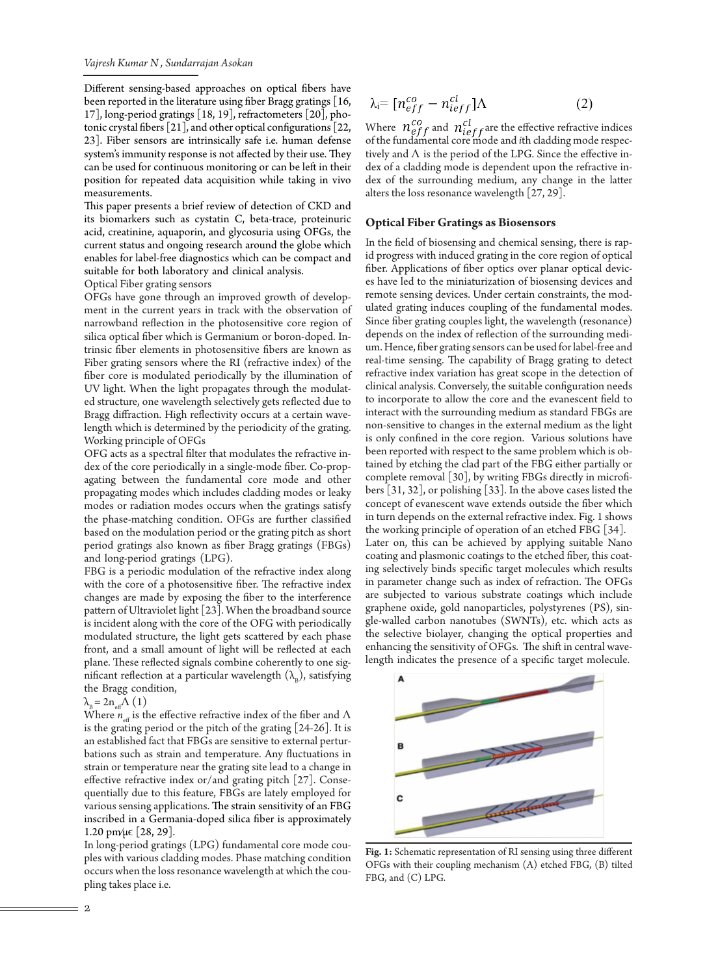Different sensing-based approaches on optical fibers have been reported in the literature using fiber Bragg gratings [16, 17], long-period gratings [18, 19], refractometers [20], photonic crystal fibers [21], and other optical configurations [22, 23]. Fiber sensors are intrinsically safe i.e. human defense system's immunity response is not affected by their use. They can be used for continuous monitoring or can be left in their position for repeated data acquisition while taking in vivo measurements.

This paper presents a brief review of detection of CKD and its biomarkers such as cystatin C, beta-trace, proteinuric acid, creatinine, aquaporin, and glycosuria using OFGs, the current status and ongoing research around the globe which enables for label-free diagnostics which can be compact and suitable for both laboratory and clinical analysis.

Optical Fiber grating sensors

OFGs have gone through an improved growth of development in the current years in track with the observation of narrowband reflection in the photosensitive core region of silica optical fiber which is Germanium or boron-doped. Intrinsic fiber elements in photosensitive fibers are known as Fiber grating sensors where the RI (refractive index) of the fiber core is modulated periodically by the illumination of UV light. When the light propagates through the modulated structure, one wavelength selectively gets reflected due to Bragg diffraction. High reflectivity occurs at a certain wavelength which is determined by the periodicity of the grating. Working principle of OFGs

OFG acts as a spectral filter that modulates the refractive index of the core periodically in a single-mode fiber. Co-propagating between the fundamental core mode and other propagating modes which includes cladding modes or leaky modes or radiation modes occurs when the gratings satisfy the phase-matching condition. OFGs are further classified based on the modulation period or the grating pitch as short period gratings also known as fiber Bragg gratings (FBGs) and long-period gratings (LPG).

FBG is a periodic modulation of the refractive index along with the core of a photosensitive fiber. The refractive index changes are made by exposing the fiber to the interference pattern of Ultraviolet light [23]. When the broadband source is incident along with the core of the OFG with periodically modulated structure, the light gets scattered by each phase front, and a small amount of light will be reflected at each plane. These reflected signals combine coherently to one significant reflection at a particular wavelength  $(\lambda_n)$ , satisfying the Bragg condition,

 $\lambda_{\rm B} = 2n_{\rm eff} \Lambda (1)$ 

Where  $n_{\text{eff}}$  is the effective refractive index of the fiber and  $\Lambda$ is the grating period or the pitch of the grating [24-26]. It is an established fact that FBGs are sensitive to external perturbations such as strain and temperature. Any fluctuations in strain or temperature near the grating site lead to a change in effective refractive index or/and grating pitch [27]. Consequentially due to this feature, FBGs are lately employed for various sensing applications. The strain sensitivity of an FBG inscribed in a Germania-doped silica fiber is approximately 1.20 pm/μ $\in$  [28, 29].

In long-period gratings (LPG) fundamental core mode couples with various cladding modes. Phase matching condition occurs when the loss resonance wavelength at which the coupling takes place i.e.

$$
\lambda_i = [n_{eff}^{co} - n_{ieff}^{cl}]\Lambda \tag{2}
$$

Where  $n_{eff}^{co}$  and  $n_{ieff}^{cl}$  are the effective refractive indices of the fundamental core mode and *i*th cladding mode respectively and  $\Lambda$  is the period of the LPG. Since the effective index of a cladding mode is dependent upon the refractive index of the surrounding medium, any change in the latter alters the loss resonance wavelength [27, 29].

#### **Optical Fiber Gratings as Biosensors**

In the field of biosensing and chemical sensing, there is rapid progress with induced grating in the core region of optical fiber. Applications of fiber optics over planar optical devices have led to the miniaturization of biosensing devices and remote sensing devices. Under certain constraints, the modulated grating induces coupling of the fundamental modes. Since fiber grating couples light, the wavelength (resonance) depends on the index of reflection of the surrounding medium. Hence, fiber grating sensors can be used for label-free and real-time sensing. The capability of Bragg grating to detect refractive index variation has great scope in the detection of clinical analysis. Conversely, the suitable configuration needs to incorporate to allow the core and the evanescent field to interact with the surrounding medium as standard FBGs are non-sensitive to changes in the external medium as the light is only confined in the core region. Various solutions have been reported with respect to the same problem which is obtained by etching the clad part of the FBG either partially or complete removal [30], by writing FBGs directly in microfibers [31, 32], or polishing [33]. In the above cases listed the concept of evanescent wave extends outside the fiber which in turn depends on the external refractive index. Fig. 1 shows the working principle of operation of an etched FBG [34]. Later on, this can be achieved by applying suitable Nano coating and plasmonic coatings to the etched fiber, this coating selectively binds specific target molecules which results in parameter change such as index of refraction. The OFGs are subjected to various substrate coatings which include graphene oxide, gold nanoparticles, polystyrenes (PS), single-walled carbon nanotubes (SWNTs), etc. which acts as the selective biolayer, changing the optical properties and enhancing the sensitivity of OFGs. The shift in central wavelength indicates the presence of a specific target molecule.



**Fig. 1:** Schematic representation of RI sensing using three different OFGs with their coupling mechanism (A) etched FBG, (B) tilted FBG, and (C) LPG.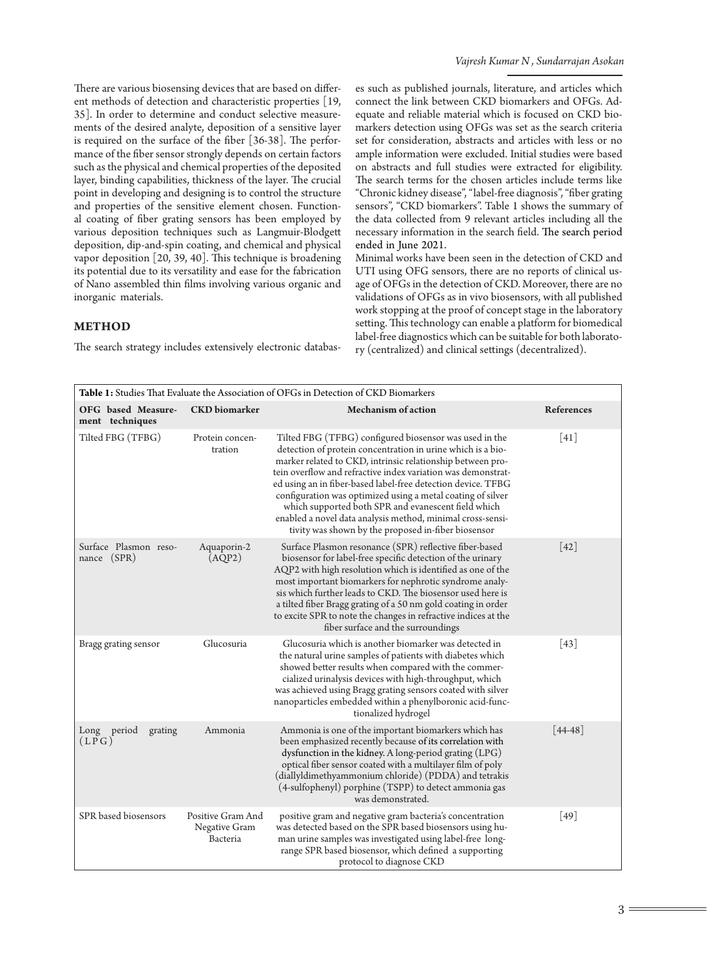There are various biosensing devices that are based on different methods of detection and characteristic properties [19, 35]. In order to determine and conduct selective measurements of the desired analyte, deposition of a sensitive layer is required on the surface of the fiber [36-38]. The performance of the fiber sensor strongly depends on certain factors such as the physical and chemical properties of the deposited layer, binding capabilities, thickness of the layer. The crucial point in developing and designing is to control the structure and properties of the sensitive element chosen. Functional coating of fiber grating sensors has been employed by various deposition techniques such as Langmuir-Blodgett deposition, dip-and-spin coating, and chemical and physical vapor deposition [20, 39, 40]. This technique is broadening its potential due to its versatility and ease for the fabrication of Nano assembled thin films involving various organic and inorganic materials.

# **METHOD**

The search strategy includes extensively electronic databas-

es such as published journals, literature, and articles which connect the link between CKD biomarkers and OFGs. Adequate and reliable material which is focused on CKD biomarkers detection using OFGs was set as the search criteria set for consideration, abstracts and articles with less or no ample information were excluded. Initial studies were based on abstracts and full studies were extracted for eligibility. The search terms for the chosen articles include terms like "Chronic kidney disease", "label-free diagnosis", "fiber grating sensors", "CKD biomarkers". Table 1 shows the summary of the data collected from 9 relevant articles including all the necessary information in the search field. The search period ended in June 2021.

Minimal works have been seen in the detection of CKD and UTI using OFG sensors, there are no reports of clinical usage of OFGs in the detection of CKD. Moreover, there are no validations of OFGs as in vivo biosensors, with all published work stopping at the proof of concept stage in the laboratory setting. This technology can enable a platform for biomedical label-free diagnostics which can be suitable for both laboratory (centralized) and clinical settings (decentralized).

| Table 1: Studies That Evaluate the Association of OFGs in Detection of CKD Biomarkers |                                                |                                                                                                                                                                                                                                                                                                                                                                                                                                                                                                                                                                |                    |  |
|---------------------------------------------------------------------------------------|------------------------------------------------|----------------------------------------------------------------------------------------------------------------------------------------------------------------------------------------------------------------------------------------------------------------------------------------------------------------------------------------------------------------------------------------------------------------------------------------------------------------------------------------------------------------------------------------------------------------|--------------------|--|
| OFG based Measure-<br>ment techniques                                                 | <b>CKD</b> biomarker                           | <b>Mechanism of action</b>                                                                                                                                                                                                                                                                                                                                                                                                                                                                                                                                     | <b>References</b>  |  |
| Tilted FBG (TFBG)                                                                     | Protein concen-<br>tration                     | Tilted FBG (TFBG) configured biosensor was used in the<br>detection of protein concentration in urine which is a bio-<br>marker related to CKD, intrinsic relationship between pro-<br>tein overflow and refractive index variation was demonstrat-<br>ed using an in fiber-based label-free detection device. TFBG<br>configuration was optimized using a metal coating of silver<br>which supported both SPR and evanescent field which<br>enabled a novel data analysis method, minimal cross-sensi-<br>tivity was shown by the proposed in-fiber biosensor | [41]               |  |
| Surface Plasmon reso-<br>nance (SPR)                                                  | Aquaporin-2<br>(AQP2)                          | Surface Plasmon resonance (SPR) reflective fiber-based<br>biosensor for label-free specific detection of the urinary<br>AQP2 with high resolution which is identified as one of the<br>most important biomarkers for nephrotic syndrome analy-<br>sis which further leads to CKD. The biosensor used here is<br>a tilted fiber Bragg grating of a 50 nm gold coating in order<br>to excite SPR to note the changes in refractive indices at the<br>fiber surface and the surroundings                                                                          | $\lceil 42 \rceil$ |  |
| Bragg grating sensor                                                                  | Glucosuria                                     | Glucosuria which is another biomarker was detected in<br>the natural urine samples of patients with diabetes which<br>showed better results when compared with the commer-<br>cialized urinalysis devices with high-throughput, which<br>was achieved using Bragg grating sensors coated with silver<br>nanoparticles embedded within a phenylboronic acid-func-<br>tionalized hydrogel                                                                                                                                                                        | [43]               |  |
| Long period<br>grating<br>(LPG)                                                       | Ammonia                                        | Ammonia is one of the important biomarkers which has<br>been emphasized recently because of its correlation with<br>dysfunction in the kidney. A long-period grating (LPG)<br>optical fiber sensor coated with a multilayer film of poly<br>(diallyldimethyammonium chloride) (PDDA) and tetrakis<br>(4-sulfophenyl) porphine (TSPP) to detect ammonia gas<br>was demonstrated.                                                                                                                                                                                | $[44 - 48]$        |  |
| SPR based biosensors                                                                  | Positive Gram And<br>Negative Gram<br>Bacteria | positive gram and negative gram bacteria's concentration<br>was detected based on the SPR based biosensors using hu-<br>man urine samples was investigated using label-free long-<br>range SPR based biosensor, which defined a supporting<br>protocol to diagnose CKD                                                                                                                                                                                                                                                                                         | $[49]$             |  |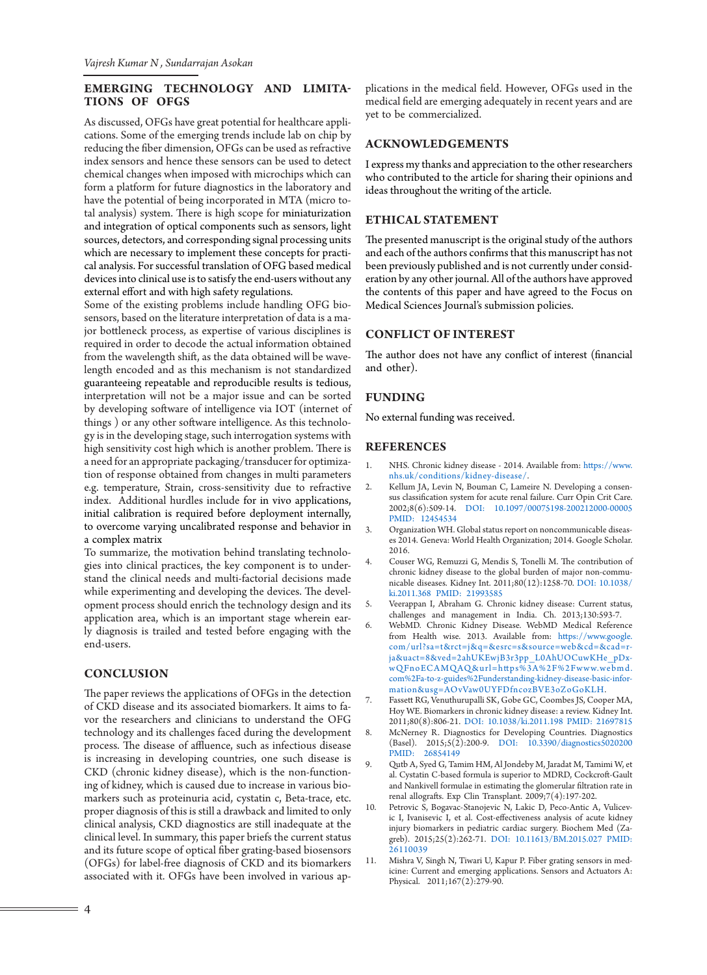# **EMERGING TECHNOLOGY AND LIMITA-TIONS OF OFGS**

As discussed, OFGs have great potential for healthcare applications. Some of the emerging trends include lab on chip by reducing the fiber dimension, OFGs can be used as refractive index sensors and hence these sensors can be used to detect chemical changes when imposed with microchips which can form a platform for future diagnostics in the laboratory and have the potential of being incorporated in MTA (micro total analysis) system. There is high scope for miniaturization and integration of optical components such as sensors, light sources, detectors, and corresponding signal processing units which are necessary to implement these concepts for practical analysis. For successful translation of OFG based medical devices into clinical use is to satisfy the end-users without any external effort and with high safety regulations.

Some of the existing problems include handling OFG biosensors, based on the literature interpretation of data is a major bottleneck process, as expertise of various disciplines is required in order to decode the actual information obtained from the wavelength shift, as the data obtained will be wavelength encoded and as this mechanism is not standardized guaranteeing repeatable and reproducible results is tedious, interpretation will not be a major issue and can be sorted by developing software of intelligence via IOT (internet of things ) or any other software intelligence. As this technology is in the developing stage, such interrogation systems with high sensitivity cost high which is another problem. There is a need for an appropriate packaging/transducer for optimization of response obtained from changes in multi parameters e.g. temperature, Strain, cross-sensitivity due to refractive index. Additional hurdles include for in vivo applications, initial calibration is required before deployment internally, to overcome varying uncalibrated response and behavior in a complex matrix

To summarize, the motivation behind translating technologies into clinical practices, the key component is to understand the clinical needs and multi-factorial decisions made while experimenting and developing the devices. The development process should enrich the technology design and its application area, which is an important stage wherein early diagnosis is trailed and tested before engaging with the end-users.

#### **CONCLUSION**

The paper reviews the applications of OFGs in the detection of CKD disease and its associated biomarkers. It aims to favor the researchers and clinicians to understand the OFG technology and its challenges faced during the development process. The disease of affluence, such as infectious disease is increasing in developing countries, one such disease is CKD (chronic kidney disease), which is the non-functioning of kidney, which is caused due to increase in various biomarkers such as proteinuria acid, cystatin c, Beta-trace, etc. proper diagnosis of this is still a drawback and limited to only clinical analysis, CKD diagnostics are still inadequate at the clinical level. In summary, this paper briefs the current status and its future scope of optical fiber grating-based biosensors (OFGs) for label-free diagnosis of CKD and its biomarkers associated with it. OFGs have been involved in various applications in the medical field. However, OFGs used in the medical field are emerging adequately in recent years and are yet to be commercialized.

### **ACKNOWLEDGEMENTS**

I express my thanks and appreciation to the other researchers who contributed to the article for sharing their opinions and ideas throughout the writing of the article.

#### **ETHICAL STATEMENT**

The presented manuscript is the original study of the authors and each of the authors confirms that this manuscript has not been previously published and is not currently under consideration by any other journal. All of the authors have approved the contents of this paper and have agreed to the Focus on Medical Sciences Journal's submission policies.

#### **CONFLICT OF INTEREST**

The author does not have any conflict of interest (financial and other).

#### **FUNDING**

No external funding was received.

#### **REFERENCES**

- 1. NHS. Chronic kidney disease 2014. Available from: [https://www.](https://www.nhs.uk/conditions/kidney-disease/) [nhs.uk/conditions/kidney-disease/](https://www.nhs.uk/conditions/kidney-disease/).
- 2. Kellum JA, Levin N, Bouman C, Lameire N. Developing a consensus classification system for acute renal failure. Curr Opin Crit Care. 2002;8(6):509-14. [DOI: 10.1097/00075198-200212000-00005](http://dx.doi.org/10.1097/00075198-200212000-00005) [PMID: 12454534](file:///D:/Owjj/Owj/Focus%20on%20Science/7(3)/Word/www.ncbi.nlm.nih.gov/pubmed/12454534)
- 3. Organization WH. Global status report on noncommunicable diseases 2014. Geneva: World Health Organization; 2014. Google Scholar. 2016.
- 4. Couser WG, Remuzzi G, Mendis S, Tonelli M. The contribution of chronic kidney disease to the global burden of major non-communicable diseases. Kidney Int. 2011;80(12):1258-70. [DOI: 10.1038/](http://dx.doi.org/10.1038/ki.2011.368) [ki.2011.368](http://dx.doi.org/10.1038/ki.2011.368) [PMID: 21993585](file:///D:/Owjj/Owj/Focus%20on%20Science/7(3)/Word/www.ncbi.nlm.nih.gov/pubmed/21993585)
- 5. Veerappan I, Abraham G. Chronic kidney disease: Current status, challenges and management in India. Ch. 2013;130:593-7.
- 6. WebMD. Chronic Kidney Disease. WebMD Medical Reference from Health wise. 2013. Available from: [https://www.google.](https://www.google.com/url?sa=t&rct=j&q=&esrc=s&source=web&cd=&cad=rja&uact=8&ved=2ahUKEwjB3r3pp_L0AhUOCuwKHe_pDxwQFnoECAMQAQ&url=https%3A%2F%2Fwww.webmd.com%2Fa-to-z-guides%2Funderstanding-kidney-disease-basic-information&usg=AOvVaw0UYFDfncozBVE3oZoGoKLH) [com/url?sa=t&rct=j&q=&esrc=s&source=web&cd=&cad=r](https://www.google.com/url?sa=t&rct=j&q=&esrc=s&source=web&cd=&cad=rja&uact=8&ved=2ahUKEwjB3r3pp_L0AhUOCuwKHe_pDxwQFnoECAMQAQ&url=https%3A%2F%2Fwww.webmd.com%2Fa-to-z-guides%2Funderstanding-kidney-disease-basic-information&usg=AOvVaw0UYFDfncozBVE3oZoGoKLH)[ja&uact=8&ved=2ahUKEwjB3r3pp\\_L0AhUOCuwKHe\\_pDx](https://www.google.com/url?sa=t&rct=j&q=&esrc=s&source=web&cd=&cad=rja&uact=8&ved=2ahUKEwjB3r3pp_L0AhUOCuwKHe_pDxwQFnoECAMQAQ&url=https%3A%2F%2Fwww.webmd.com%2Fa-to-z-guides%2Funderstanding-kidney-disease-basic-information&usg=AOvVaw0UYFDfncozBVE3oZoGoKLH)[wQFnoECAMQAQ&url=https%3A%2F%2Fwww.webmd.](https://www.google.com/url?sa=t&rct=j&q=&esrc=s&source=web&cd=&cad=rja&uact=8&ved=2ahUKEwjB3r3pp_L0AhUOCuwKHe_pDxwQFnoECAMQAQ&url=https%3A%2F%2Fwww.webmd.com%2Fa-to-z-guides%2Funderstanding-kidney-disease-basic-information&usg=AOvVaw0UYFDfncozBVE3oZoGoKLH) [com%2Fa-to-z-guides%2Funderstanding-kidney-disease-basic-infor](https://www.google.com/url?sa=t&rct=j&q=&esrc=s&source=web&cd=&cad=rja&uact=8&ved=2ahUKEwjB3r3pp_L0AhUOCuwKHe_pDxwQFnoECAMQAQ&url=https%3A%2F%2Fwww.webmd.com%2Fa-to-z-guides%2Funderstanding-kidney-disease-basic-information&usg=AOvVaw0UYFDfncozBVE3oZoGoKLH)[mation&usg=AOvVaw0UYFDfncozBVE3oZoGoKLH](https://www.google.com/url?sa=t&rct=j&q=&esrc=s&source=web&cd=&cad=rja&uact=8&ved=2ahUKEwjB3r3pp_L0AhUOCuwKHe_pDxwQFnoECAMQAQ&url=https%3A%2F%2Fwww.webmd.com%2Fa-to-z-guides%2Funderstanding-kidney-disease-basic-information&usg=AOvVaw0UYFDfncozBVE3oZoGoKLH).
- 7. Fassett RG, Venuthurupalli SK, Gobe GC, Coombes JS, Cooper MA, Hoy WE. Biomarkers in chronic kidney disease: a review. Kidney Int. 2011;80(8):806-21. [DOI: 10.1038/ki.2011.198](http://dx.doi.org/10.1038/ki.2011.198) [PMID: 21697815](file:///D:/Owjj/Owj/Focus%20on%20Science/7(3)/Word/www.ncbi.nlm.nih.gov/pubmed/21697815)
- 8. McNerney R. Diagnostics for Developing Countries. Diagnostics (Basel). 2015;5(2):200-9. [DOI: 10.3390/diagnostics5020200](http://dx.doi.org/10.3390/diagnostics5020200) [PMID: 26854149](file:///D:/Owjj/Owj/Focus%20on%20Science/7(3)/Word/www.ncbi.nlm.nih.gov/pubmed/26854149)
- 9. Qutb A, Syed G, Tamim HM, Al Jondeby M, Jaradat M, Tamimi W, et al. Cystatin C-based formula is superior to MDRD, Cockcroft-Gault and Nankivell formulae in estimating the glomerular filtration rate in renal allografts. Exp Clin Transplant. 2009;7(4):197-202.
- 10. Petrovic S, Bogavac-Stanojevic N, Lakic D, Peco-Antic A, Vulicevic I, Ivanisevic I, et al. Cost-effectiveness analysis of acute kidney injury biomarkers in pediatric cardiac surgery. Biochem Med (Zagreb). 2015;25(2):262-71. [DOI: 10.11613/BM.2015.027](http://dx.doi.org/10.11613/BM.2015.027) [PMID:](file:///D:/Owjj/Owj/Focus%20on%20Science/7(3)/Word/www.ncbi.nlm.nih.gov/pubmed/26110039)  [26110039](file:///D:/Owjj/Owj/Focus%20on%20Science/7(3)/Word/www.ncbi.nlm.nih.gov/pubmed/26110039)
- 11. Mishra V, Singh N, Tiwari U, Kapur P. Fiber grating sensors in medicine: Current and emerging applications. Sensors and Actuators A: Physical. 2011;167(2):279-90.